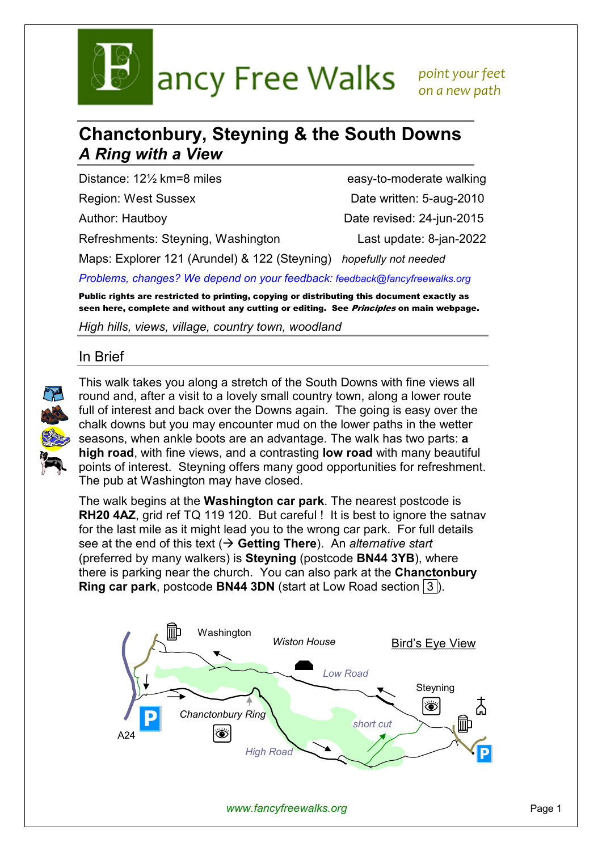

ancy Free Walks point your feet

 *on a new path* 

# **Chanctonbury, Steyning & the South Downs**  *A Ring with a View*

Distance: 12<sup>1</sup>/<sub>2</sub> km=8 miles easy-to-moderate walking

Refreshments: Steyning, Washington Last update: 8-jan-2022

Region: West Sussex **Date written: 5-aug-2010** Author: Hautboy Date revised: 24-jun-2015

Maps: Explorer 121 (Arundel) & 122 (Steyning) *hopefully not needed*

*Problems, changes? We depend on your feedback: feedback@fancyfreewalks.org*

Public rights are restricted to printing, copying or distributing this document exactly as seen here, complete and without any cutting or editing. See *Principles* on main webpage.

*High hills, views, village, country town, woodland* 

### In Brief



This walk takes you along a stretch of the South Downs with fine views all round and, after a visit to a lovely small country town, along a lower route full of interest and back over the Downs again. The going is easy over the chalk downs but you may encounter mud on the lower paths in the wetter seasons, when ankle boots are an advantage. The walk has two parts: **a high road**, with fine views, and a contrasting **low road** with many beautiful points of interest. Steyning offers many good opportunities for refreshment. The pub at Washington may have closed.

The walk begins at the **Washington car park**. The nearest postcode is **RH20 4AZ.** grid ref TQ 119 120. But careful! It is best to ignore the satnay for the last mile as it might lead you to the wrong car park. For full details see at the end of this text ( $\rightarrow$  Getting There). An *alternative start* (preferred by many walkers) is **Steyning** (postcode **BN44 3YB**), where there is parking near the church. You can also park at the **Chanctonbury Ring car park**, postcode **BN44 3DN** (start at Low Road section 3).



*www.fancyfreewalks.org* Page 1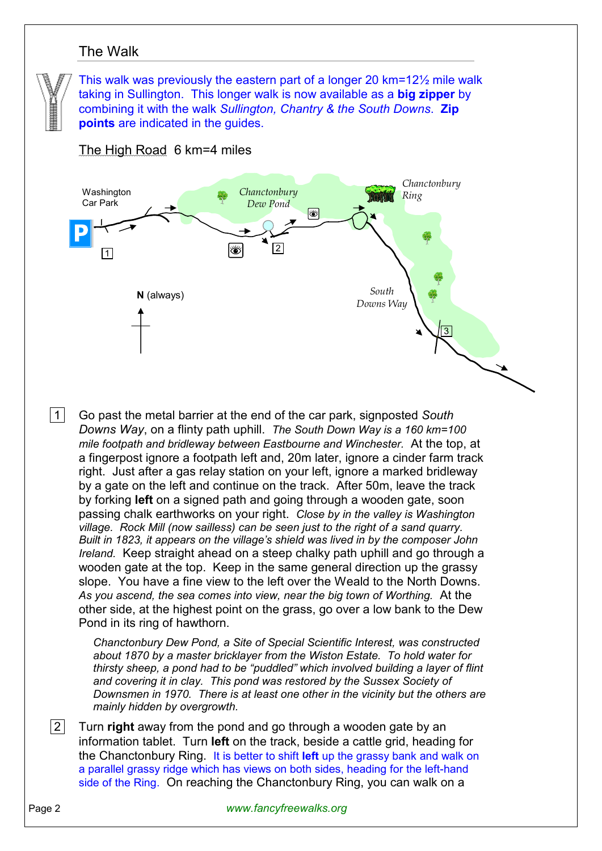## The Walk

This walk was previously the eastern part of a longer 20 km=12½ mile walk taking in Sullington. This longer walk is now available as a **big zipper** by combining it with the walk *Sullington, Chantry & the South Downs*. **Zip points** are indicated in the guides.

#### The High Road 6 km=4 miles



 1 Go past the metal barrier at the end of the car park, signposted *South Downs Way*, on a flinty path uphill. *The South Down Way is a 160 km=100 mile footpath and bridleway between Eastbourne and Winchester.* At the top, at a fingerpost ignore a footpath left and, 20m later, ignore a cinder farm track right. Just after a gas relay station on your left, ignore a marked bridleway by a gate on the left and continue on the track. After 50m, leave the track by forking **left** on a signed path and going through a wooden gate, soon passing chalk earthworks on your right. *Close by in the valley is Washington village. Rock Mill (now sailless) can be seen just to the right of a sand quarry. Built in 1823, it appears on the village's shield was lived in by the composer John Ireland.* Keep straight ahead on a steep chalky path uphill and go through a wooden gate at the top. Keep in the same general direction up the grassy slope. You have a fine view to the left over the Weald to the North Downs. *As you ascend, the sea comes into view, near the big town of Worthing.* At the other side, at the highest point on the grass, go over a low bank to the Dew Pond in its ring of hawthorn.

*Chanctonbury Dew Pond, a Site of Special Scientific Interest, was constructed about 1870 by a master bricklayer from the Wiston Estate. To hold water for thirsty sheep, a pond had to be "puddled" which involved building a layer of flint and covering it in clay. This pond was restored by the Sussex Society of Downsmen in 1970. There is at least one other in the vicinity but the others are mainly hidden by overgrowth.* 

 2 Turn **right** away from the pond and go through a wooden gate by an information tablet. Turn **left** on the track, beside a cattle grid, heading for the Chanctonbury Ring. It is better to shift **left** up the grassy bank and walk on a parallel grassy ridge which has views on both sides, heading for the left-hand side of the Ring. On reaching the Chanctonbury Ring, you can walk on a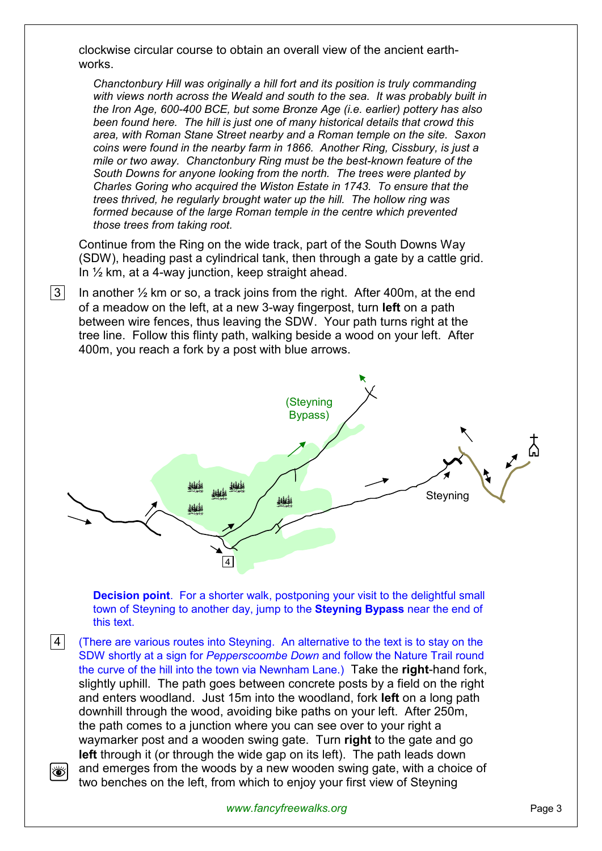clockwise circular course to obtain an overall view of the ancient earthworks.

*Chanctonbury Hill was originally a hill fort and its position is truly commanding with views north across the Weald and south to the sea. It was probably built in the Iron Age, 600-400 BCE, but some Bronze Age (i.e. earlier) pottery has also been found here. The hill is just one of many historical details that crowd this area, with Roman Stane Street nearby and a Roman temple on the site. Saxon coins were found in the nearby farm in 1866. Another Ring, Cissbury, is just a mile or two away. Chanctonbury Ring must be the best-known feature of the South Downs for anyone looking from the north. The trees were planted by Charles Goring who acquired the Wiston Estate in 1743. To ensure that the trees thrived, he regularly brought water up the hill. The hollow ring was formed because of the large Roman temple in the centre which prevented those trees from taking root.* 

Continue from the Ring on the wide track, part of the South Downs Way (SDW), heading past a cylindrical tank, then through a gate by a cattle grid. In  $\frac{1}{2}$  km, at a 4-way junction, keep straight ahead.

 $|3|$  In another  $\frac{1}{2}$  km or so, a track joins from the right. After 400m, at the end of a meadow on the left, at a new 3-way fingerpost, turn **left** on a path between wire fences, thus leaving the SDW. Your path turns right at the tree line. Follow this flinty path, walking beside a wood on your left. After 400m, you reach a fork by a post with blue arrows.



**Decision point**. For a shorter walk, postponing your visit to the delightful small town of Steyning to another day, jump to the **Steyning Bypass** near the end of this text.

**4** (There are various routes into Steyning. An alternative to the text is to stay on the SDW shortly at a sign for *Pepperscoombe Down* and follow the Nature Trail round the curve of the hill into the town via Newnham Lane.) Take the **right**-hand fork, slightly uphill. The path goes between concrete posts by a field on the right and enters woodland. Just 15m into the woodland, fork **left** on a long path downhill through the wood, avoiding bike paths on your left. After 250m, the path comes to a junction where you can see over to your right a waymarker post and a wooden swing gate. Turn **right** to the gate and go **left** through it (or through the wide gap on its left). The path leads down and emerges from the woods by a new wooden swing gate, with a choice of Ö, two benches on the left, from which to enjoy your first view of Steyning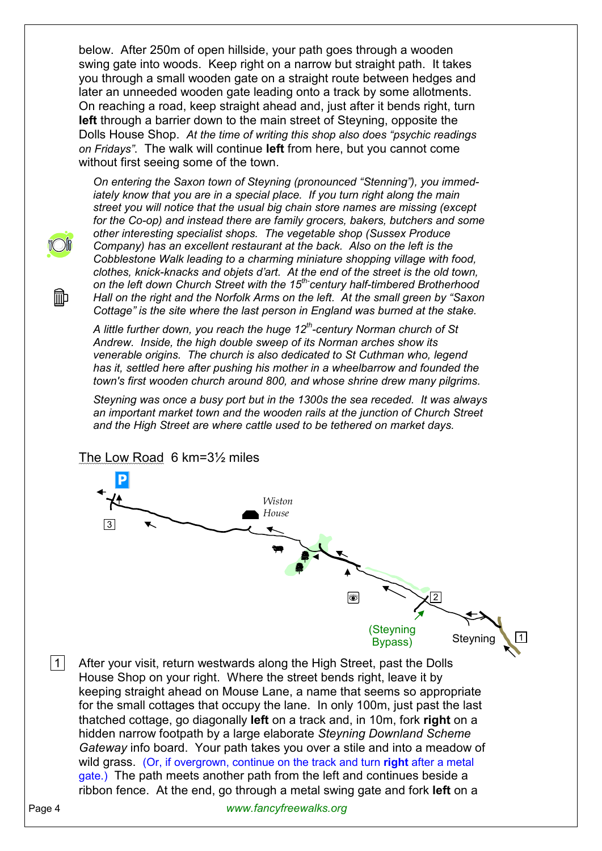below. After 250m of open hillside, your path goes through a wooden swing gate into woods. Keep right on a narrow but straight path. It takes you through a small wooden gate on a straight route between hedges and later an unneeded wooden gate leading onto a track by some allotments. On reaching a road, keep straight ahead and, just after it bends right, turn **left** through a barrier down to the main street of Steyning, opposite the Dolls House Shop. *At the time of writing this shop also does "psychic readings on Fridays"*. The walk will continue **left** from here, but you cannot come without first seeing some of the town.



liib

*On entering the Saxon town of Steyning (pronounced "Stenning"), you immediately know that you are in a special place. If you turn right along the main street you will notice that the usual big chain store names are missing (except for the Co-op) and instead there are family grocers, bakers, butchers and some other interesting specialist shops. The vegetable shop (Sussex Produce Company) has an excellent restaurant at the back. Also on the left is the Cobblestone Walk leading to a charming miniature shopping village with food, clothes, knick-knacks and objets d'art. At the end of the street is the old town, on the left down Church Street with the 15th-century half-timbered Brotherhood Hall on the right and the Norfolk Arms on the left. At the small green by "Saxon Cottage" is the site where the last person in England was burned at the stake.* 

*A little further down, you reach the huge 12th-century Norman church of St Andrew. Inside, the high double sweep of its Norman arches show its venerable origins. The church is also dedicated to St Cuthman who, legend has it, settled here after pushing his mother in a wheelbarrow and founded the town's first wooden church around 800, and whose shrine drew many pilgrims.* 

*Steyning was once a busy port but in the 1300s the sea receded. It was always an important market town and the wooden rails at the junction of Church Street and the High Street are where cattle used to be tethered on market days.*



The Low Road 6 km=3½ miles

 $\boxed{1}$  After your visit, return westwards along the High Street, past the Dolls House Shop on your right. Where the street bends right, leave it by keeping straight ahead on Mouse Lane, a name that seems so appropriate for the small cottages that occupy the lane. In only 100m, just past the last thatched cottage, go diagonally **left** on a track and, in 10m, fork **right** on a hidden narrow footpath by a large elaborate *Steyning Downland Scheme Gateway* info board. Your path takes you over a stile and into a meadow of wild grass. (Or, if overgrown, continue on the track and turn **right** after a metal gate.) The path meets another path from the left and continues beside a ribbon fence. At the end, go through a metal swing gate and fork **left** on a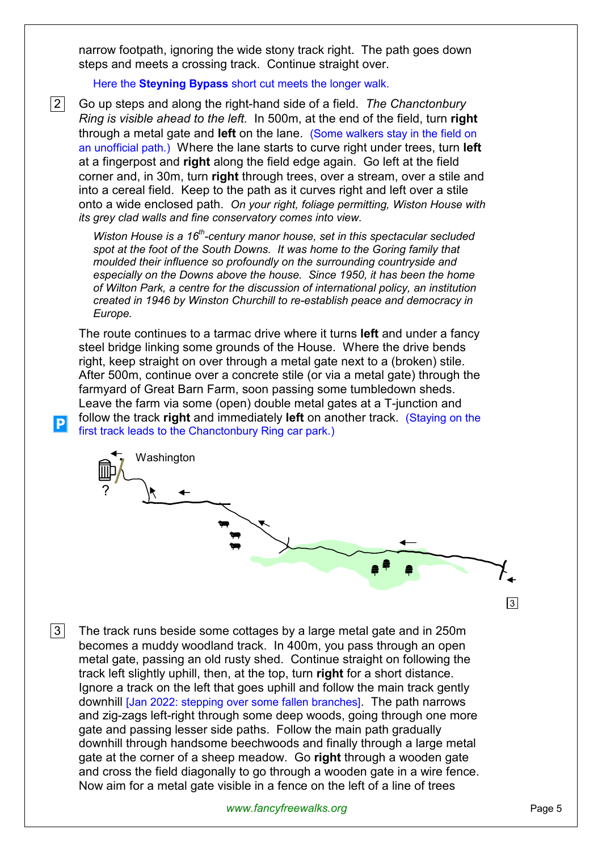narrow footpath, ignoring the wide stony track right. The path goes down steps and meets a crossing track. Continue straight over.

Here the **Steyning Bypass** short cut meets the longer walk.

 2 Go up steps and along the right-hand side of a field. *The Chanctonbury Ring is visible ahead to the left.* In 500m, at the end of the field, turn **right** through a metal gate and **left** on the lane. (Some walkers stay in the field on an unofficial path.) Where the lane starts to curve right under trees, turn **left** at a fingerpost and **right** along the field edge again. Go left at the field corner and, in 30m, turn **right** through trees, over a stream, over a stile and into a cereal field. Keep to the path as it curves right and left over a stile onto a wide enclosed path. *On your right, foliage permitting, Wiston House with its grey clad walls and fine conservatory comes into view.*

*Wiston House is a 16th-century manor house, set in this spectacular secluded spot at the foot of the South Downs. It was home to the Goring family that moulded their influence so profoundly on the surrounding countryside and especially on the Downs above the house. Since 1950, it has been the home of Wilton Park, a centre for the discussion of international policy, an institution created in 1946 by Winston Churchill to re-establish peace and democracy in Europe.* 

The route continues to a tarmac drive where it turns **left** and under a fancy steel bridge linking some grounds of the House. Where the drive bends right, keep straight on over through a metal gate next to a (broken) stile. After 500m, continue over a concrete stile (or via a metal gate) through the farmyard of Great Barn Farm, soon passing some tumbledown sheds. Leave the farm via some (open) double metal gates at a T-junction and follow the track **right** and immediately **left** on another track. (Staying on the first track leads to the Chanctonbury Ring car park.)

 $|P|$ 



 $|3|$  The track runs beside some cottages by a large metal gate and in 250m becomes a muddy woodland track. In 400m, you pass through an open metal gate, passing an old rusty shed. Continue straight on following the track left slightly uphill, then, at the top, turn **right** for a short distance. Ignore a track on the left that goes uphill and follow the main track gently downhill [Jan 2022: stepping over some fallen branches]. The path narrows and zig-zags left-right through some deep woods, going through one more gate and passing lesser side paths. Follow the main path gradually downhill through handsome beechwoods and finally through a large metal gate at the corner of a sheep meadow. Go **right** through a wooden gate and cross the field diagonally to go through a wooden gate in a wire fence. Now aim for a metal gate visible in a fence on the left of a line of trees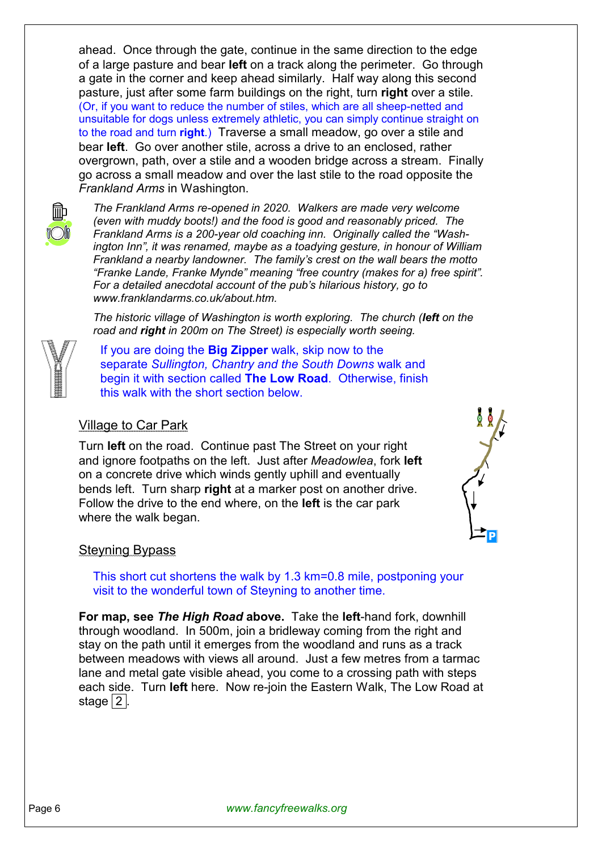ahead. Once through the gate, continue in the same direction to the edge of a large pasture and bear **left** on a track along the perimeter. Go through a gate in the corner and keep ahead similarly. Half way along this second pasture, just after some farm buildings on the right, turn **right** over a stile. (Or, if you want to reduce the number of stiles, which are all sheep-netted and unsuitable for dogs unless extremely athletic, you can simply continue straight on to the road and turn **right**.) Traverse a small meadow, go over a stile and bear **left**. Go over another stile, across a drive to an enclosed, rather overgrown, path, over a stile and a wooden bridge across a stream. Finally go across a small meadow and over the last stile to the road opposite the *Frankland Arms* in Washington.



*The Frankland Arms re-opened in 2020. Walkers are made very welcome (even with muddy boots!) and the food is good and reasonably priced. The Frankland Arms is a 200-year old coaching inn. Originally called the "Washington Inn", it was renamed, maybe as a toadying gesture, in honour of William Frankland a nearby landowner. The family's crest on the wall bears the motto "Franke Lande, Franke Mynde" meaning "free country (makes for a) free spirit". For a detailed anecdotal account of the pub's hilarious history, go to www.franklandarms.co.uk/about.htm.* 

*The historic village of Washington is worth exploring. The church (left on the road and right in 200m on The Street) is especially worth seeing.*



If you are doing the **Big Zipper** walk, skip now to the separate *Sullington, Chantry and the South Downs* walk and begin it with section called **The Low Road**. Otherwise, finish this walk with the short section below.

#### Village to Car Park

Turn **left** on the road. Continue past The Street on your right and ignore footpaths on the left. Just after *Meadowlea*, fork **left** on a concrete drive which winds gently uphill and eventually bends left. Turn sharp **right** at a marker post on another drive. Follow the drive to the end where, on the **left** is the car park where the walk began.



#### Steyning Bypass

This short cut shortens the walk by 1.3 km=0.8 mile, postponing your visit to the wonderful town of Steyning to another time.

**For map, see** *The High Road* **above.** Take the **left**-hand fork, downhill through woodland. In 500m, join a bridleway coming from the right and stay on the path until it emerges from the woodland and runs as a track between meadows with views all around. Just a few metres from a tarmac lane and metal gate visible ahead, you come to a crossing path with steps each side. Turn **left** here. Now re-join the Eastern Walk, The Low Road at stage  $2$ .